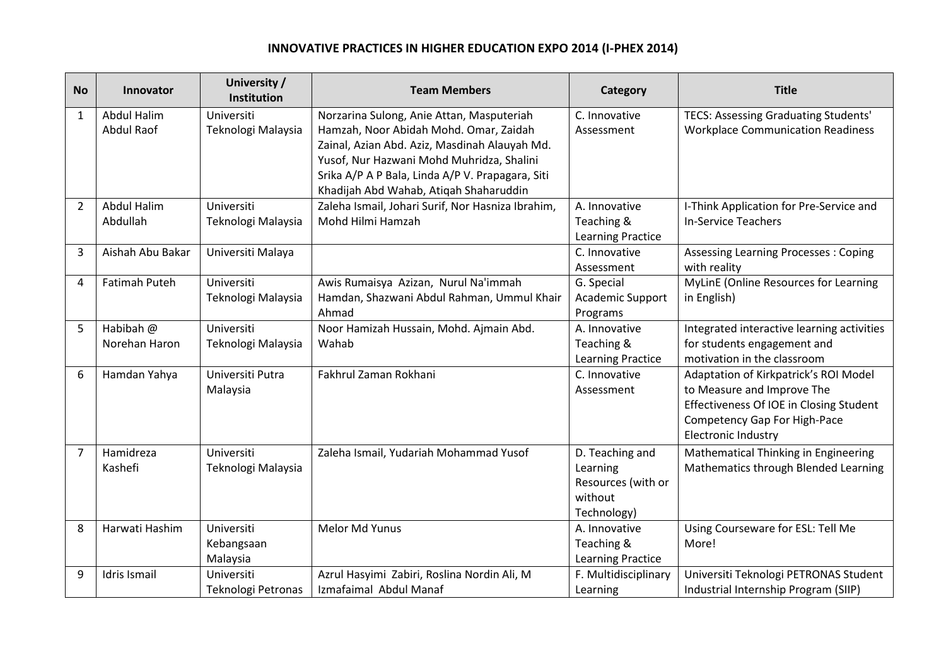## **INNOVATIVE PRACTICES IN HIGHER EDUCATION EXPO 2014 (I-PHEX 2014)**

| <b>No</b>    | Innovator           | University /<br>Institution | <b>Team Members</b>                                                                           | Category                      | <b>Title</b>                                 |
|--------------|---------------------|-----------------------------|-----------------------------------------------------------------------------------------------|-------------------------------|----------------------------------------------|
| $\mathbf{1}$ | <b>Abdul Halim</b>  | Universiti                  | Norzarina Sulong, Anie Attan, Masputeriah                                                     | C. Innovative                 | TECS: Assessing Graduating Students'         |
|              | <b>Abdul Raof</b>   | Teknologi Malaysia          | Hamzah, Noor Abidah Mohd. Omar, Zaidah                                                        | Assessment                    | <b>Workplace Communication Readiness</b>     |
|              |                     |                             | Zainal, Azian Abd. Aziz, Masdinah Alauyah Md.                                                 |                               |                                              |
|              |                     |                             | Yusof, Nur Hazwani Mohd Muhridza, Shalini<br>Srika A/P A P Bala, Linda A/P V. Prapagara, Siti |                               |                                              |
|              |                     |                             | Khadijah Abd Wahab, Atiqah Shaharuddin                                                        |                               |                                              |
| 2            | <b>Abdul Halim</b>  | Universiti                  | Zaleha Ismail, Johari Surif, Nor Hasniza Ibrahim,                                             | A. Innovative                 | I-Think Application for Pre-Service and      |
|              | Abdullah            | Teknologi Malaysia          | Mohd Hilmi Hamzah                                                                             | Teaching &                    | <b>In-Service Teachers</b>                   |
|              |                     |                             |                                                                                               | Learning Practice             |                                              |
| 3            | Aishah Abu Bakar    | Universiti Malaya           |                                                                                               | C. Innovative                 | <b>Assessing Learning Processes: Coping</b>  |
|              |                     |                             |                                                                                               | Assessment                    | with reality                                 |
| 4            | Fatimah Puteh       | Universiti                  | Awis Rumaisya Azizan, Nurul Na'immah                                                          | G. Special                    | <b>MyLinE (Online Resources for Learning</b> |
|              |                     | Teknologi Malaysia          | Hamdan, Shazwani Abdul Rahman, Ummul Khair                                                    | Academic Support              | in English)                                  |
| 5            | Habibah @           | Universiti                  | Ahmad<br>Noor Hamizah Hussain, Mohd. Ajmain Abd.                                              | Programs<br>A. Innovative     | Integrated interactive learning activities   |
|              | Norehan Haron       | Teknologi Malaysia          | Wahab                                                                                         | Teaching &                    | for students engagement and                  |
|              |                     |                             |                                                                                               | Learning Practice             | motivation in the classroom                  |
| 6            | Hamdan Yahya        | Universiti Putra            | Fakhrul Zaman Rokhani                                                                         | C. Innovative                 | Adaptation of Kirkpatrick's ROI Model        |
|              |                     | Malaysia                    |                                                                                               | Assessment                    | to Measure and Improve The                   |
|              |                     |                             |                                                                                               |                               | Effectiveness Of IOE in Closing Student      |
|              |                     |                             |                                                                                               |                               | <b>Competency Gap For High-Pace</b>          |
|              |                     |                             |                                                                                               |                               | Electronic Industry                          |
| 7            | Hamidreza           | Universiti                  | Zaleha Ismail, Yudariah Mohammad Yusof                                                        | D. Teaching and               | Mathematical Thinking in Engineering         |
|              | Kashefi             | Teknologi Malaysia          |                                                                                               | Learning                      | Mathematics through Blended Learning         |
|              |                     |                             |                                                                                               | Resources (with or<br>without |                                              |
|              |                     |                             |                                                                                               | Technology)                   |                                              |
| 8            | Harwati Hashim      | Universiti                  | Melor Md Yunus                                                                                | A. Innovative                 | Using Courseware for ESL: Tell Me            |
|              |                     | Kebangsaan                  |                                                                                               | Teaching &                    | More!                                        |
|              |                     | Malaysia                    |                                                                                               | <b>Learning Practice</b>      |                                              |
| 9            | <b>Idris Ismail</b> | Universiti                  | Azrul Hasyimi Zabiri, Roslina Nordin Ali, M                                                   | F. Multidisciplinary          | Universiti Teknologi PETRONAS Student        |
|              |                     | Teknologi Petronas          | Izmafaimal Abdul Manaf                                                                        | Learning                      | Industrial Internship Program (SIIP)         |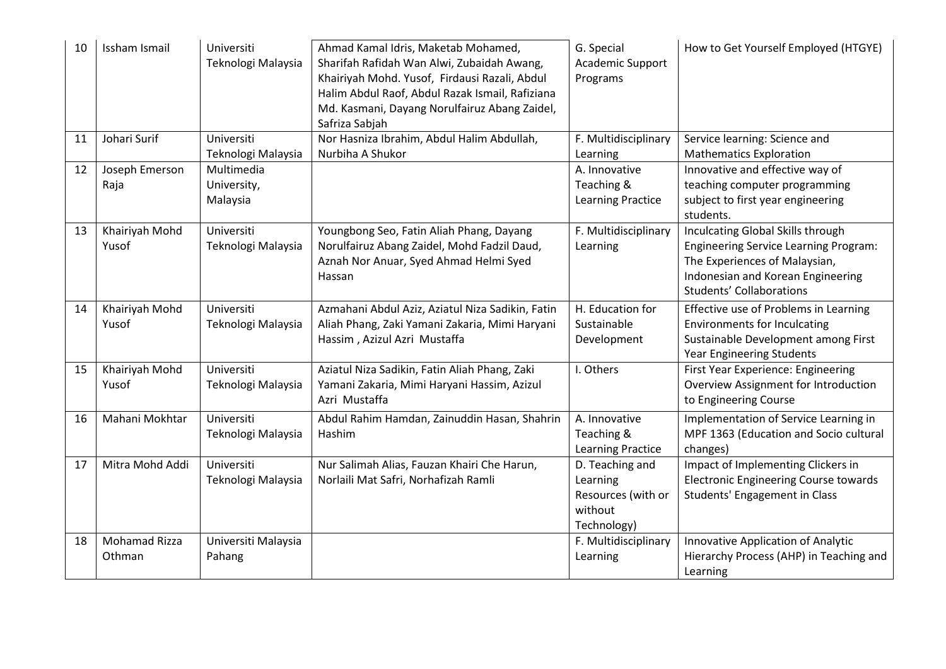| 10 | Issham Ismail        | Universiti<br>Teknologi Malaysia | Ahmad Kamal Idris, Maketab Mohamed,<br>Sharifah Rafidah Wan Alwi, Zubaidah Awang,<br>Khairiyah Mohd. Yusof, Firdausi Razali, Abdul<br>Halim Abdul Raof, Abdul Razak Ismail, Rafiziana<br>Md. Kasmani, Dayang Norulfairuz Abang Zaidel,<br>Safriza Sabjah | G. Special<br>Academic Support<br>Programs | How to Get Yourself Employed (HTGYE)         |
|----|----------------------|----------------------------------|----------------------------------------------------------------------------------------------------------------------------------------------------------------------------------------------------------------------------------------------------------|--------------------------------------------|----------------------------------------------|
| 11 | Johari Surif         | Universiti                       | Nor Hasniza Ibrahim, Abdul Halim Abdullah,                                                                                                                                                                                                               | F. Multidisciplinary                       | Service learning: Science and                |
|    |                      | Teknologi Malaysia               | Nurbiha A Shukor                                                                                                                                                                                                                                         | Learning                                   | <b>Mathematics Exploration</b>               |
| 12 | Joseph Emerson       | Multimedia                       |                                                                                                                                                                                                                                                          | A. Innovative                              | Innovative and effective way of              |
|    | Raja                 | University,                      |                                                                                                                                                                                                                                                          | Teaching &                                 | teaching computer programming                |
|    |                      | Malaysia                         |                                                                                                                                                                                                                                                          | <b>Learning Practice</b>                   | subject to first year engineering            |
|    |                      |                                  |                                                                                                                                                                                                                                                          |                                            | students.                                    |
| 13 | Khairiyah Mohd       | Universiti                       | Youngbong Seo, Fatin Aliah Phang, Dayang                                                                                                                                                                                                                 | F. Multidisciplinary                       | Inculcating Global Skills through            |
|    | Yusof                | Teknologi Malaysia               | Norulfairuz Abang Zaidel, Mohd Fadzil Daud,                                                                                                                                                                                                              | Learning                                   | <b>Engineering Service Learning Program:</b> |
|    |                      |                                  | Aznah Nor Anuar, Syed Ahmad Helmi Syed                                                                                                                                                                                                                   |                                            | The Experiences of Malaysian,                |
|    |                      |                                  | Hassan                                                                                                                                                                                                                                                   |                                            | Indonesian and Korean Engineering            |
|    |                      |                                  |                                                                                                                                                                                                                                                          |                                            | <b>Students' Collaborations</b>              |
| 14 | Khairiyah Mohd       | Universiti                       | Azmahani Abdul Aziz, Aziatul Niza Sadikin, Fatin                                                                                                                                                                                                         | H. Education for                           | Effective use of Problems in Learning        |
|    | Yusof                | Teknologi Malaysia               | Aliah Phang, Zaki Yamani Zakaria, Mimi Haryani                                                                                                                                                                                                           | Sustainable                                | <b>Environments for Inculcating</b>          |
|    |                      |                                  | Hassim, Azizul Azri Mustaffa                                                                                                                                                                                                                             | Development                                | Sustainable Development among First          |
|    |                      |                                  |                                                                                                                                                                                                                                                          |                                            | Year Engineering Students                    |
| 15 | Khairiyah Mohd       | Universiti                       | Aziatul Niza Sadikin, Fatin Aliah Phang, Zaki                                                                                                                                                                                                            | I. Others                                  | First Year Experience: Engineering           |
|    | Yusof                | Teknologi Malaysia               | Yamani Zakaria, Mimi Haryani Hassim, Azizul                                                                                                                                                                                                              |                                            | Overview Assignment for Introduction         |
|    |                      |                                  | Azri Mustaffa                                                                                                                                                                                                                                            |                                            | to Engineering Course                        |
| 16 | Mahani Mokhtar       | Universiti                       | Abdul Rahim Hamdan, Zainuddin Hasan, Shahrin                                                                                                                                                                                                             | A. Innovative                              | Implementation of Service Learning in        |
|    |                      | Teknologi Malaysia               | Hashim                                                                                                                                                                                                                                                   | Teaching &                                 | MPF 1363 (Education and Socio cultural       |
|    |                      |                                  |                                                                                                                                                                                                                                                          | <b>Learning Practice</b>                   | changes)                                     |
| 17 | Mitra Mohd Addi      | Universiti                       | Nur Salimah Alias, Fauzan Khairi Che Harun,                                                                                                                                                                                                              | D. Teaching and                            | Impact of Implementing Clickers in           |
|    |                      | Teknologi Malaysia               | Norlaili Mat Safri, Norhafizah Ramli                                                                                                                                                                                                                     | Learning                                   | Electronic Engineering Course towards        |
|    |                      |                                  |                                                                                                                                                                                                                                                          | Resources (with or                         | Students' Engagement in Class                |
|    |                      |                                  |                                                                                                                                                                                                                                                          | without                                    |                                              |
|    |                      |                                  |                                                                                                                                                                                                                                                          | Technology)                                |                                              |
| 18 | <b>Mohamad Rizza</b> | Universiti Malaysia              |                                                                                                                                                                                                                                                          | F. Multidisciplinary                       | Innovative Application of Analytic           |
|    | Othman               | Pahang                           |                                                                                                                                                                                                                                                          | Learning                                   | Hierarchy Process (AHP) in Teaching and      |
|    |                      |                                  |                                                                                                                                                                                                                                                          |                                            | Learning                                     |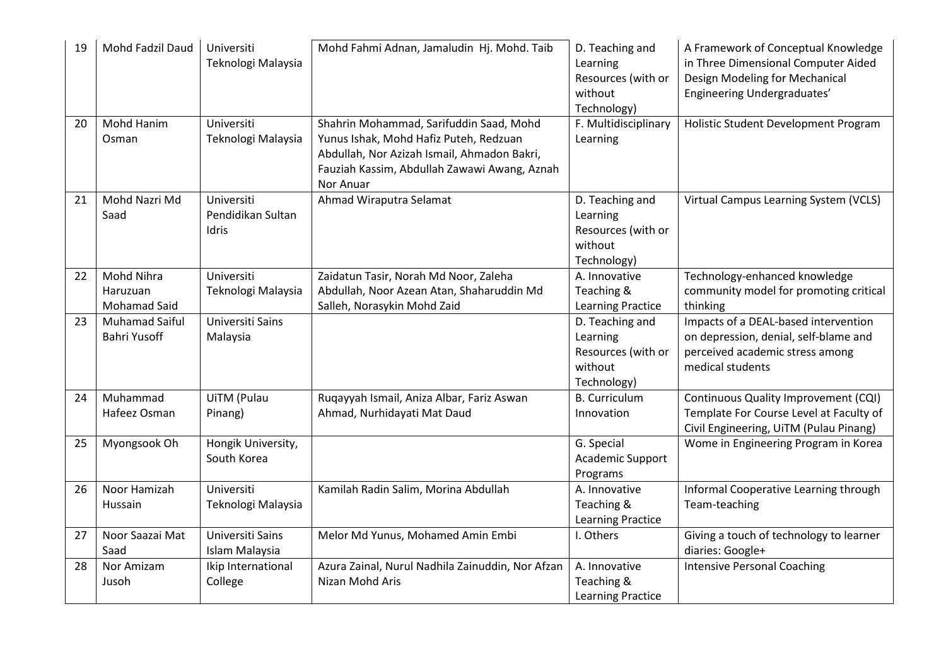| 19 | Mohd Fadzil Daud                             | Universiti<br>Teknologi Malaysia         | Mohd Fahmi Adnan, Jamaludin Hj. Mohd. Taib                                                                                                                                                    | D. Teaching and<br>Learning<br>Resources (with or<br>without<br>Technology) | A Framework of Conceptual Knowledge<br>in Three Dimensional Computer Aided<br>Design Modeling for Mechanical<br>Engineering Undergraduates' |
|----|----------------------------------------------|------------------------------------------|-----------------------------------------------------------------------------------------------------------------------------------------------------------------------------------------------|-----------------------------------------------------------------------------|---------------------------------------------------------------------------------------------------------------------------------------------|
| 20 | Mohd Hanim<br>Osman                          | Universiti<br>Teknologi Malaysia         | Shahrin Mohammad, Sarifuddin Saad, Mohd<br>Yunus Ishak, Mohd Hafiz Puteh, Redzuan<br>Abdullah, Nor Azizah Ismail, Ahmadon Bakri,<br>Fauziah Kassim, Abdullah Zawawi Awang, Aznah<br>Nor Anuar | F. Multidisciplinary<br>Learning                                            | Holistic Student Development Program                                                                                                        |
| 21 | Mohd Nazri Md<br>Saad                        | Universiti<br>Pendidikan Sultan<br>Idris | Ahmad Wiraputra Selamat                                                                                                                                                                       | D. Teaching and<br>Learning<br>Resources (with or<br>without<br>Technology) | Virtual Campus Learning System (VCLS)                                                                                                       |
| 22 | Mohd Nihra<br>Haruzuan<br>Mohamad Said       | Universiti<br>Teknologi Malaysia         | Zaidatun Tasir, Norah Md Noor, Zaleha<br>Abdullah, Noor Azean Atan, Shaharuddin Md<br>Salleh, Norasykin Mohd Zaid                                                                             | A. Innovative<br>Teaching &<br>Learning Practice                            | Technology-enhanced knowledge<br>community model for promoting critical<br>thinking                                                         |
| 23 | <b>Muhamad Saiful</b><br><b>Bahri Yusoff</b> | Universiti Sains<br>Malaysia             |                                                                                                                                                                                               | D. Teaching and<br>Learning<br>Resources (with or<br>without<br>Technology) | Impacts of a DEAL-based intervention<br>on depression, denial, self-blame and<br>perceived academic stress among<br>medical students        |
| 24 | Muhammad<br>Hafeez Osman                     | UiTM (Pulau<br>Pinang)                   | Ruqayyah Ismail, Aniza Albar, Fariz Aswan<br>Ahmad, Nurhidayati Mat Daud                                                                                                                      | <b>B.</b> Curriculum<br>Innovation                                          | Continuous Quality Improvement (CQI)<br>Template For Course Level at Faculty of<br>Civil Engineering, UiTM (Pulau Pinang)                   |
| 25 | Myongsook Oh                                 | Hongik University,<br>South Korea        |                                                                                                                                                                                               | G. Special<br>Academic Support<br>Programs                                  | Wome in Engineering Program in Korea                                                                                                        |
| 26 | Noor Hamizah<br>Hussain                      | Universiti<br>Teknologi Malaysia         | Kamilah Radin Salim, Morina Abdullah                                                                                                                                                          | A. Innovative<br>Teaching &<br>Learning Practice                            | Informal Cooperative Learning through<br>Team-teaching                                                                                      |
| 27 | Noor Saazai Mat<br>Saad                      | Universiti Sains<br>Islam Malaysia       | Melor Md Yunus, Mohamed Amin Embi                                                                                                                                                             | I. Others                                                                   | Giving a touch of technology to learner<br>diaries: Google+                                                                                 |
| 28 | Nor Amizam<br>Jusoh                          | Ikip International<br>College            | Azura Zainal, Nurul Nadhila Zainuddin, Nor Afzan<br>Nizan Mohd Aris                                                                                                                           | A. Innovative<br>Teaching &<br>Learning Practice                            | <b>Intensive Personal Coaching</b>                                                                                                          |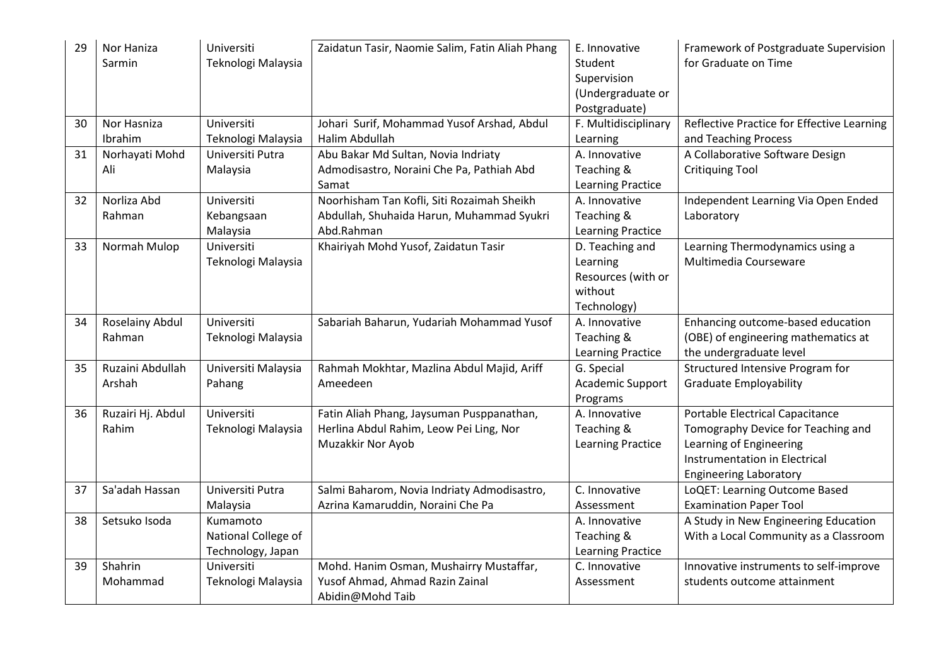| 29 | Nor Haniza<br>Sarmin      | Universiti<br>Teknologi Malaysia       | Zaidatun Tasir, Naomie Salim, Fatin Aliah Phang       | E. Innovative<br>Student<br>Supervision<br>(Undergraduate or<br>Postgraduate) | Framework of Postgraduate Supervision<br>for Graduate on Time |
|----|---------------------------|----------------------------------------|-------------------------------------------------------|-------------------------------------------------------------------------------|---------------------------------------------------------------|
| 30 | Nor Hasniza               | Universiti                             | Johari Surif, Mohammad Yusof Arshad, Abdul            | F. Multidisciplinary                                                          | Reflective Practice for Effective Learning                    |
| 31 | Ibrahim<br>Norhayati Mohd | Teknologi Malaysia<br>Universiti Putra | Halim Abdullah<br>Abu Bakar Md Sultan, Novia Indriaty | Learning<br>A. Innovative                                                     | and Teaching Process<br>A Collaborative Software Design       |
|    | Ali                       | Malaysia                               | Admodisastro, Noraini Che Pa, Pathiah Abd             | Teaching &                                                                    | <b>Critiquing Tool</b>                                        |
|    |                           |                                        | Samat                                                 | <b>Learning Practice</b>                                                      |                                                               |
| 32 | Norliza Abd               | Universiti                             | Noorhisham Tan Kofli, Siti Rozaimah Sheikh            | A. Innovative                                                                 | Independent Learning Via Open Ended                           |
|    | Rahman                    | Kebangsaan                             | Abdullah, Shuhaida Harun, Muhammad Syukri             | Teaching &                                                                    | Laboratory                                                    |
|    |                           | Malaysia                               | Abd.Rahman                                            | <b>Learning Practice</b>                                                      |                                                               |
| 33 | Normah Mulop              | Universiti                             | Khairiyah Mohd Yusof, Zaidatun Tasir                  | D. Teaching and                                                               | Learning Thermodynamics using a                               |
|    |                           | Teknologi Malaysia                     |                                                       | Learning                                                                      | Multimedia Courseware                                         |
|    |                           |                                        |                                                       | Resources (with or                                                            |                                                               |
|    |                           |                                        |                                                       | without                                                                       |                                                               |
|    |                           |                                        |                                                       | Technology)                                                                   |                                                               |
| 34 | Roselainy Abdul           | Universiti                             | Sabariah Baharun, Yudariah Mohammad Yusof             | A. Innovative                                                                 | Enhancing outcome-based education                             |
|    | Rahman                    | Teknologi Malaysia                     |                                                       | Teaching &                                                                    | (OBE) of engineering mathematics at                           |
|    |                           |                                        |                                                       | <b>Learning Practice</b>                                                      | the undergraduate level                                       |
| 35 | Ruzaini Abdullah          | Universiti Malaysia                    | Rahmah Mokhtar, Mazlina Abdul Majid, Ariff            | G. Special                                                                    | Structured Intensive Program for                              |
|    | Arshah                    | Pahang                                 | Ameedeen                                              | Academic Support<br>Programs                                                  | <b>Graduate Employability</b>                                 |
| 36 | Ruzairi Hj. Abdul         | Universiti                             | Fatin Aliah Phang, Jaysuman Pusppanathan,             | A. Innovative                                                                 | Portable Electrical Capacitance                               |
|    | Rahim                     | Teknologi Malaysia                     | Herlina Abdul Rahim, Leow Pei Ling, Nor               | Teaching &                                                                    | Tomography Device for Teaching and                            |
|    |                           |                                        | Muzakkir Nor Ayob                                     | <b>Learning Practice</b>                                                      | Learning of Engineering                                       |
|    |                           |                                        |                                                       |                                                                               | <b>Instrumentation in Electrical</b>                          |
|    |                           |                                        |                                                       |                                                                               | <b>Engineering Laboratory</b>                                 |
| 37 | Sa'adah Hassan            | Universiti Putra                       | Salmi Baharom, Novia Indriaty Admodisastro,           | C. Innovative                                                                 | LoQET: Learning Outcome Based                                 |
|    |                           | Malaysia                               | Azrina Kamaruddin, Noraini Che Pa                     | Assessment                                                                    | <b>Examination Paper Tool</b>                                 |
| 38 | Setsuko Isoda             | Kumamoto                               |                                                       | A. Innovative                                                                 | A Study in New Engineering Education                          |
|    |                           | National College of                    |                                                       | Teaching &                                                                    | With a Local Community as a Classroom                         |
|    |                           | Technology, Japan                      |                                                       | Learning Practice                                                             |                                                               |
| 39 | Shahrin                   | Universiti                             | Mohd. Hanim Osman, Mushairry Mustaffar,               | C. Innovative                                                                 | Innovative instruments to self-improve                        |
|    | Mohammad                  | Teknologi Malaysia                     | Yusof Ahmad, Ahmad Razin Zainal                       | Assessment                                                                    | students outcome attainment                                   |
|    |                           |                                        | Abidin@Mohd Taib                                      |                                                                               |                                                               |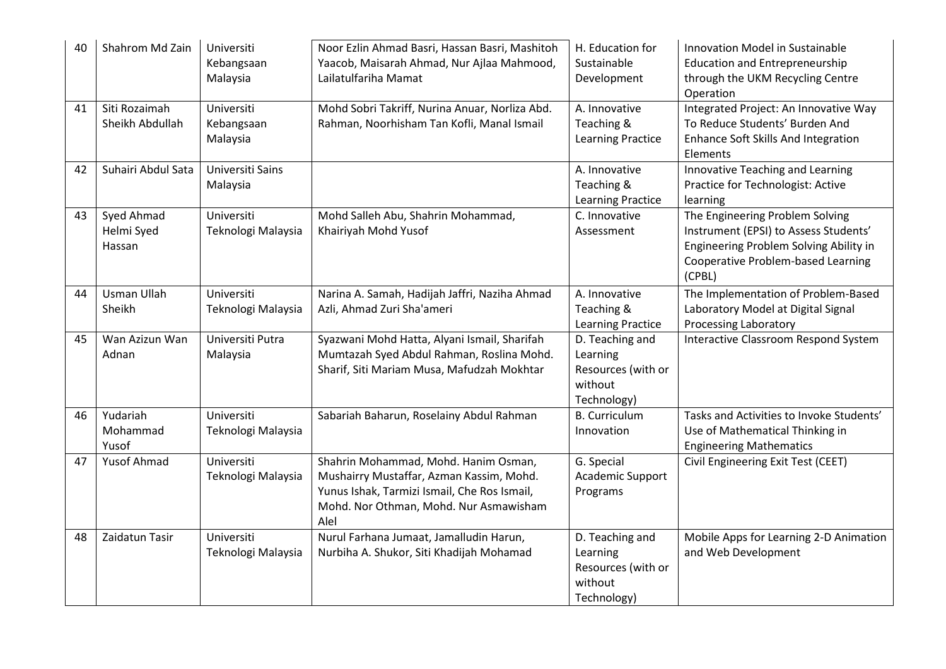| 40 | Shahrom Md Zain                    | Universiti<br>Kebangsaan<br>Malaysia | Noor Ezlin Ahmad Basri, Hassan Basri, Mashitoh<br>Yaacob, Maisarah Ahmad, Nur Ajlaa Mahmood,<br>Lailatulfariha Mamat                                                               | H. Education for<br>Sustainable<br>Development                              | Innovation Model in Sustainable<br><b>Education and Entrepreneurship</b><br>through the UKM Recycling Centre<br>Operation                                          |
|----|------------------------------------|--------------------------------------|------------------------------------------------------------------------------------------------------------------------------------------------------------------------------------|-----------------------------------------------------------------------------|--------------------------------------------------------------------------------------------------------------------------------------------------------------------|
| 41 | Siti Rozaimah<br>Sheikh Abdullah   | Universiti<br>Kebangsaan<br>Malaysia | Mohd Sobri Takriff, Nurina Anuar, Norliza Abd.<br>Rahman, Noorhisham Tan Kofli, Manal Ismail                                                                                       | A. Innovative<br>Teaching &<br><b>Learning Practice</b>                     | Integrated Project: An Innovative Way<br>To Reduce Students' Burden And<br><b>Enhance Soft Skills And Integration</b><br>Elements                                  |
| 42 | Suhairi Abdul Sata                 | Universiti Sains<br>Malaysia         |                                                                                                                                                                                    | A. Innovative<br>Teaching &<br>Learning Practice                            | Innovative Teaching and Learning<br>Practice for Technologist: Active<br>learning                                                                                  |
| 43 | Syed Ahmad<br>Helmi Syed<br>Hassan | Universiti<br>Teknologi Malaysia     | Mohd Salleh Abu, Shahrin Mohammad,<br>Khairiyah Mohd Yusof                                                                                                                         | C. Innovative<br>Assessment                                                 | The Engineering Problem Solving<br>Instrument (EPSI) to Assess Students'<br>Engineering Problem Solving Ability in<br>Cooperative Problem-based Learning<br>(CPBL) |
| 44 | <b>Usman Ullah</b><br>Sheikh       | Universiti                           | Narina A. Samah, Hadijah Jaffri, Naziha Ahmad<br>Azli, Ahmad Zuri Sha'ameri                                                                                                        | A. Innovative                                                               | The Implementation of Problem-Based                                                                                                                                |
|    |                                    | Teknologi Malaysia                   |                                                                                                                                                                                    | Teaching &<br>Learning Practice                                             | Laboratory Model at Digital Signal<br><b>Processing Laboratory</b>                                                                                                 |
| 45 | Wan Azizun Wan<br>Adnan            | Universiti Putra<br>Malaysia         | Syazwani Mohd Hatta, Alyani Ismail, Sharifah<br>Mumtazah Syed Abdul Rahman, Roslina Mohd.<br>Sharif, Siti Mariam Musa, Mafudzah Mokhtar                                            | D. Teaching and<br>Learning<br>Resources (with or<br>without<br>Technology) | Interactive Classroom Respond System                                                                                                                               |
| 46 | Yudariah<br>Mohammad<br>Yusof      | Universiti<br>Teknologi Malaysia     | Sabariah Baharun, Roselainy Abdul Rahman                                                                                                                                           | <b>B.</b> Curriculum<br>Innovation                                          | Tasks and Activities to Invoke Students'<br>Use of Mathematical Thinking in<br><b>Engineering Mathematics</b>                                                      |
| 47 | Yusof Ahmad                        | Universiti<br>Teknologi Malaysia     | Shahrin Mohammad, Mohd. Hanim Osman,<br>Mushairry Mustaffar, Azman Kassim, Mohd.<br>Yunus Ishak, Tarmizi Ismail, Che Ros Ismail,<br>Mohd. Nor Othman, Mohd. Nur Asmawisham<br>Alel | G. Special<br>Academic Support<br>Programs                                  | Civil Engineering Exit Test (CEET)                                                                                                                                 |
| 48 | Zaidatun Tasir                     | Universiti<br>Teknologi Malaysia     | Nurul Farhana Jumaat, Jamalludin Harun,<br>Nurbiha A. Shukor, Siti Khadijah Mohamad                                                                                                | D. Teaching and<br>Learning<br>Resources (with or<br>without<br>Technology) | Mobile Apps for Learning 2-D Animation<br>and Web Development                                                                                                      |